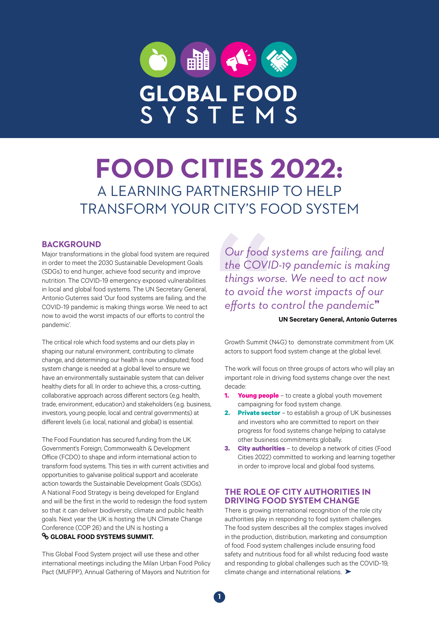

# **FOOD CITIES 2022:**  A LEARNING PARTNERSHIP TO HELP TRANSFORM YOUR CITY'S FOOD SYSTEM

#### **BACKGROUND**

Major transformations in the global food system are required in order to meet the 2030 Sustainable Development Goals (SDGs) to end hunger, achieve food security and improve nutrition. The COVID-19 emergency exposed vulnerabilities in local and global food systems. The UN Secretary General, Antonio Guterres said 'Our food systems are failing, and the COVID-19 pandemic is making things worse. We need to act now to avoid the worst impacts of our efforts to control the pandemic'.

The critical role which food systems and our diets play in shaping our natural environment, contributing to climate change, and determining our health is now undisputed; food system change is needed at a global level to ensure we have an environmentally sustainable system that can deliver healthy diets for all. In order to achieve this, a cross-cutting, collaborative approach across different sectors (e.g. health, trade, environment, education) and stakeholders (e.g. business, investors, young people, local and central governments) at different levels (i.e. local, national and global) is essential.

The Food Foundation has secured funding from the UK Government's Foreign, Commonwealth & Development Office (FCDO) to shape and inform international action to transform food systems. This ties in with current activities and opportunities to galvanise political support and accelerate action towards the Sustainable Development Goals (SDGs). A National Food Strategy is being developed for England and will be the first in the world to redesign the food system so that it can deliver biodiversity, climate and public health goals. Next year the UK is hosting the UN Climate Change Conference (COP 26) and the UN is hosting a **& GLOBAL FOOD SYSTEMS SUMMIT.** 

This Global Food System project will use these and other international meetings including the Milan Urban Food Policy Pact (MUFPP), Annual Gathering of Mayors and Nutrition for

*Our food systems are failing, and the COVID-19 pandemic is making things worse. We need to act now to avoid the worst impacts of our efforts to control the pandemic*"

#### **UN Secretary General, Antonio Guterres**

Growth Summit (N4G) to demonstrate commitment from UK actors to support food system change at the global level.

The work will focus on three groups of actors who will play an important role in driving food systems change over the next decade:

- **1. Young people** to create a global youth movement campaigning for food system change.
- **2. Private sector**  to establish a group of UK businesses and investors who are committed to report on their progress for food systems change helping to catalyse other business commitments globally.
- **3. City authorities** to develop a network of cities (Food Cities 2022) committed to working and learning together in order to improve local and global food systems.

## **THE ROLE OF CITY AUTHORITIES IN DRIVING FOOD SYSTEM CHANGE**

There is growing international recognition of the role city authorities play in responding to food system challenges. The food system describes all the complex stages involved in the production, distribution, marketing and consumption of food. Food system challenges include ensuring food safety and nutritious food for all whilst reducing food waste and responding to global challenges such as the COVID-19, climate change and international relations. ➤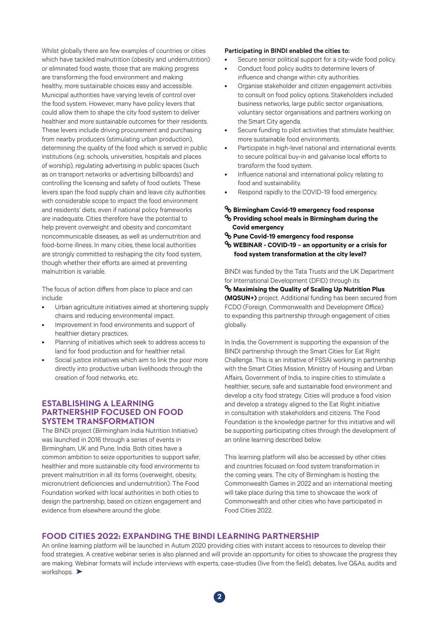Whilst globally there are few examples of countries or cities which have tackled malnutrition (obesity and undernutrition) or eliminated food waste, those that are making progress are transforming the food environment and making healthy, more sustainable choices easy and accessible. Municipal authorities have varying levels of control over the food system. However, many have policy levers that could allow them to shape the city food system to deliver healthier and more sustainable outcomes for their residents. These levers include driving procurement and purchasing from nearby producers (stimulating urban production), determining the quality of the food which is served in public institutions (e.g. schools, universities, hospitals and places of worship), regulating advertising in public spaces (such as on transport networks or advertising billboards) and controlling the licensing and safety of food outlets. These levers span the food supply chain and leave city authorities with considerable scope to impact the food environment and residents' diets, even if national policy frameworks are inadequate. Cities therefore have the potential to help prevent overweight and obesity and concomitant noncommunicable diseases, as well as undernutrition and food-borne illness. In many cities, these local authorities are strongly committed to reshaping the city food system, though whether their efforts are aimed at preventing malnutrition is variable.

The focus of action differs from place to place and can include:

- Urban agriculture initiatives aimed at shortening supply chains and reducing environmental impact.
- Improvement in food environments and support of healthier dietary practices.
- Planning of initiatives which seek to address access to land for food production and for healthier retail.
- Social justice initiatives which aim to link the poor more directly into productive urban livelihoods through the creation of food networks, etc.

#### **ESTABLISHING A LEARNING PARTNERSHIP FOCUSED ON FOOD SYSTEM TRANSFORMATION**

The BINDI project (Birmingham India Nutrition Initiative) was launched in 2016 through a series of events in Birmingham, UK and Pune, India. Both cities have a common ambition to seize opportunities to support safer, healthier and more sustainable city food environments to prevent malnutrition in all its forms (overweight, obesity, micronutrient deficiencies and undernutrition). The Food Foundation worked with local authorities in both cities to design the partnership, based on citizen engagement and evidence from elsewhere around the globe.

#### Participating in BINDI enabled the cities to:

- Secure senior political support for a city-wide food policy.
- Conduct food policy audits to determine levers of influence and change within city authorities.
- Organise stakeholder and citizen engagement activities to consult on food policy options. Stakeholders included business networks, large public sector organisations, voluntary sector organisations and partners working on the Smart City agenda.
- Secure funding to pilot activities that stimulate healthier, more sustainable food environments.
- Participate in high-level national and international events to secure political buy-in and galvanise local efforts to transform the food system.
- Influence national and international policy relating to food and sustainability.
- Respond rapidly to the COVID-19 food emergency.

#### **[Birmingham Covid-19 emergency food response](https://foodfoundation.org.uk/wp-content/uploads/2020/06/BCC_Covid-Report_A4_Proof3.pdf)**

- **[Providing school meals in Birmingham during the](https://foodfoundation.org.uk/wp-content/uploads/2020/06/CityServe_Covid-Report_A4_proof4.pdf)   [Covid emergency](https://foodfoundation.org.uk/wp-content/uploads/2020/06/CityServe_Covid-Report_A4_proof4.pdf)**
- **[Pune Covid-19 emergency food response](https://foodfoundation.org.uk/wp-content/uploads/2020/06/PMC_Covid-Report_A4_proof3.pdf)**
- **[WEBINAR COVID-19 an opportunity or a crisis for](https://foodfoundation.org.uk/event/webinar-covid-19-an-opportunity-or-a-crisis-for-food-system-transformation-at-the-city-level/)   [food system transformation at the city level?](https://foodfoundation.org.uk/event/webinar-covid-19-an-opportunity-or-a-crisis-for-food-system-transformation-at-the-city-level/)**

BINDI was funded by the Tata Trusts and the UK Department for International Development (DFID) through its

**[Maximising the Quality of Scaling Up Nutrition Plus](https://www.path.org/)  [\(MQSUN+\)](https://www.path.org/)** project. Additional funding has been secured from FCDO (Foreign, Commonwealth and Development Office) to expanding this partnership through engagement of cities globally.

In India, the Government is supporting the expansion of the BINDI partnership through the Smart Cities for Eat Right Challenge. This is an initiative of FSSAI working in partnership with the Smart Cities Mission, Ministry of Housing and Urban Affairs, Government of India, to inspire cities to stimulate a healthier, secure, safe and sustainable food environment and develop a city food strategy. Cities will produce a food vision and develop a strategy aligned to the Eat Right initiative in consultation with stakeholders and citizens. The Food Foundation is the knowledge partner for this initiative and will be supporting participating cities through the development of an online learning described below.

This learning platform will also be accessed by other cities and countries focused on food system transformation in the coming years. The city of Birmingham is hosting the Commonwealth Games in 2022 and an international meeting will take place during this time to showcase the work of Commonwealth and other cities who have participated in Food Cities 2022.

## **FOOD CITIES 2022: EXPANDING THE BINDI LEARNING PARTNERSHIP**

An online learning platform will be launched in Autum 2020 providing cities with instant access to resources to develop their food strategies. A creative webinar series is also planned and will provide an opportunity for cities to showcase the progress they are making. Webinar formats will include interviews with experts, case-studies (live from the field), debates, live Q&As, audits and workshops. ▶